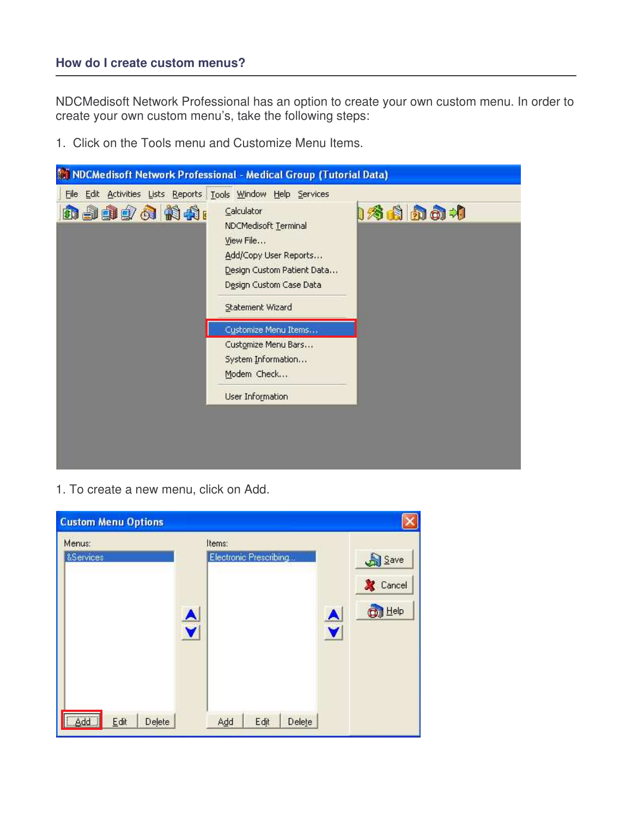NDCMedisoft Network Professional has an option to create your own custom menu. In order to create your own custom menu's, take the following steps:

1. Click on the Tools menu and Customize Menu Items.

|                                                                           | M NDCMedisoft Network Professional - Medical Group (Tutorial Data) |
|---------------------------------------------------------------------------|--------------------------------------------------------------------|
| File Edit Activities Lists Reports Tools Window Help Services<br>nadøa na | 176 白 カ カ カ<br>Calculator                                          |
|                                                                           | NDCMedisoft Terminal<br>View File<br>Add/Copy User Reports         |
|                                                                           | Design Custom Patient Data<br>Design Custom Case Data              |
|                                                                           | Statement Wizard<br>Customize Menu Items                           |
|                                                                           | Customize Menu Bars<br>System Information<br>Modem Check           |
|                                                                           | User Information                                                   |
|                                                                           |                                                                    |

1. To create a new menu, click on Add.

| <b>Custom Menu Options</b> |                  |                                  |                  |                                          |
|----------------------------|------------------|----------------------------------|------------------|------------------------------------------|
| Menus:<br>&Services        | $\blacktriangle$ | Items:<br>Electronic Prescribing | $\blacktriangle$ | Save<br><b>X</b> Cancel<br><b>O</b> Help |
| [ Add ]<br>Delete<br>Edit  |                  | Delete<br>Add<br>Edit            |                  |                                          |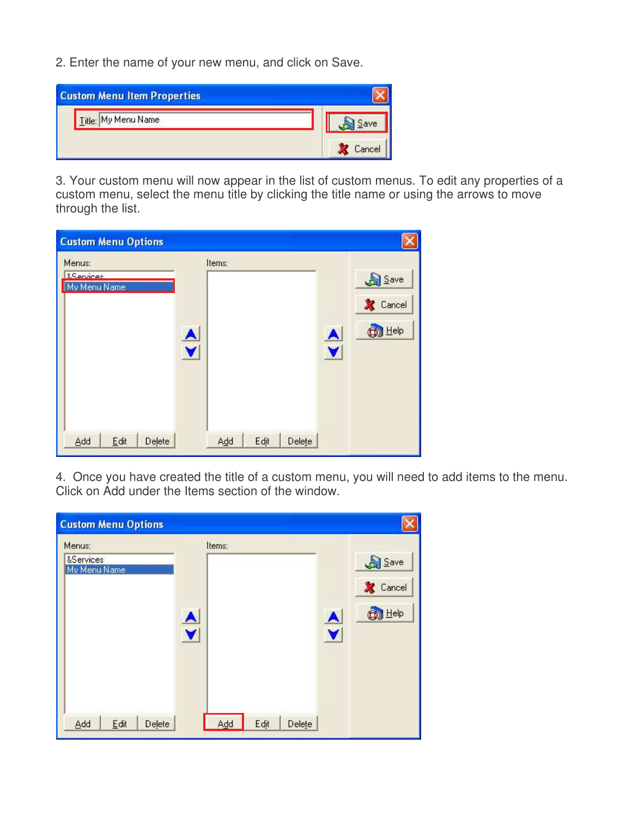2. Enter the name of your new menu, and click on Save.

| <b>Custom Menu Item Properties</b> |  |
|------------------------------------|--|
| Title: My Menu Name                |  |
|                                    |  |

3. Your custom menu will now appear in the list of custom menus. To edit any properties of a custom menu, select the menu title by clicking the title name or using the arrows to move through the list.

| <b>Custom Menu Options</b>                     |        |        |      |        |                           |                                           |
|------------------------------------------------|--------|--------|------|--------|---------------------------|-------------------------------------------|
| Menus:<br><b>&amp;Services</b><br>My Menu Name | Ā<br>V | Items: |      |        | A<br>$\blacktriangledown$ | Save<br><b>X</b> Cancel<br><b>ON</b> Help |
| Add<br>Delete<br>Edit                          |        | Add    | Edit | Delete |                           |                                           |

4. Once you have created the title of a custom menu, you will need to add items to the menu. Click on Add under the Items section of the window.

| <b>Custom Menu Options</b>          |                  |        |      |        |                                          |                                           |
|-------------------------------------|------------------|--------|------|--------|------------------------------------------|-------------------------------------------|
| Menus:<br>&Services<br>My Menu Name | $\blacktriangle$ | Items: |      |        | $\blacktriangle$<br>$\blacktriangledown$ | Save<br><b>X</b> Cancel<br><b>ON</b> Help |
| Add<br>Edit<br>Delete               |                  | Add    | Edit | Delete |                                          |                                           |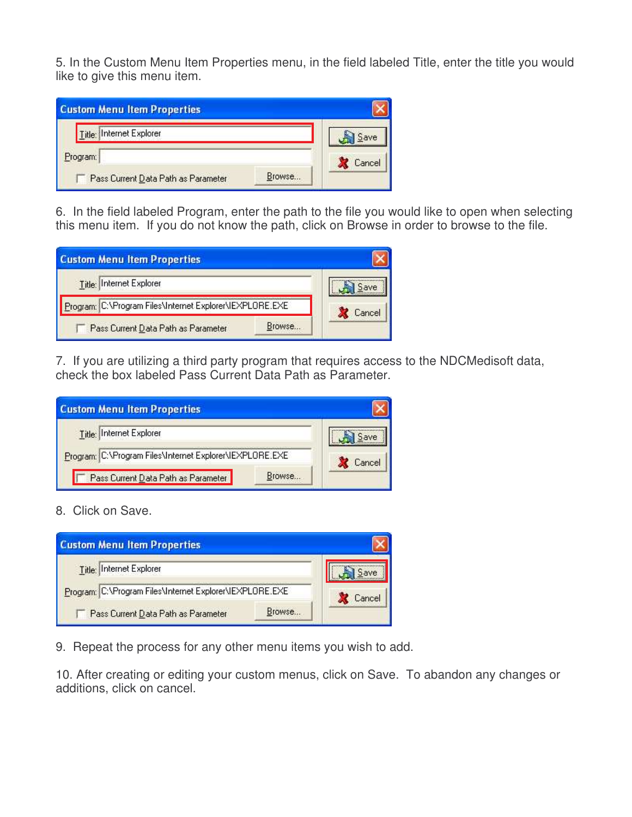5. In the Custom Menu Item Properties menu, in the field labeled Title, enter the title you would like to give this menu item.

| <b>Custom Menu Item Properties</b>  |        |  |
|-------------------------------------|--------|--|
| Title: Internet Explorer            |        |  |
| Program:                            |        |  |
| Pass Current Data Path as Parameter | Browse |  |

6. In the field labeled Program, enter the path to the file you would like to open when selecting this menu item. If you do not know the path, click on Browse in order to browse to the file.

| <b>Custom Menu Item Properties</b>                       |        |        |
|----------------------------------------------------------|--------|--------|
| Title: Internet Explorer                                 |        |        |
| Program: C:\Program Files\Internet Explorer\IEXPLORE.EXE |        | Cancel |
| Pass Current Data Path as Parameter                      | Browse |        |

7. If you are utilizing a third party program that requires access to the NDCMedisoft data, check the box labeled Pass Current Data Path as Parameter.

| <b>Custom Menu Item Properties</b>                       |        |        |
|----------------------------------------------------------|--------|--------|
| Title: Internet Explorer                                 |        |        |
| Program: C:\Program Files\Internet Explorer\IEXPLORE.EXE |        | Cancel |
| Pass Current Data Path as Parameter                      | Browse |        |

8. Click on Save.

| <b>Custom Menu Item Properties</b>                       |        |        |
|----------------------------------------------------------|--------|--------|
| Title: Internet Explorer                                 |        |        |
| Program: C:\Program Files\Internet Explorer\IEXPLORE.EXE |        | Cancel |
| Pass Current Data Path as Parameter                      | Browse |        |

9. Repeat the process for any other menu items you wish to add.

10. After creating or editing your custom menus, click on Save. To abandon any changes or additions, click on cancel.